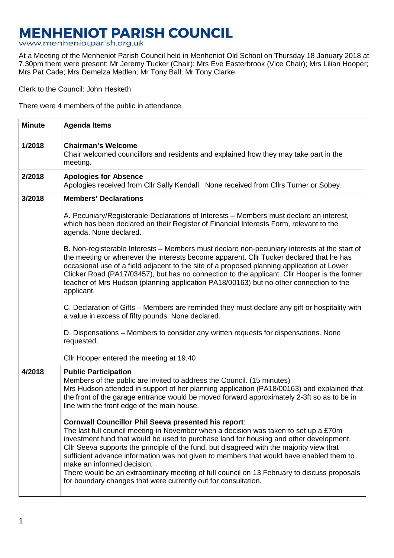## **MENHENIOT PARISH COUNCIL**

www.menheniotparish.org.uk

At a Meeting of the Menheniot Parish Council held in Menheniot Old School on Thursday 18 January 2018 at 7.30pm there were present: Mr Jeremy Tucker (Chair); Mrs Eve Easterbrook (Vice Chair); Mrs Lilian Hooper; Mrs Pat Cade; Mrs Demelza Medlen; Mr Tony Ball; Mr Tony Clarke.

Clerk to the Council: John Hesketh

There were 4 members of the public in attendance.

| <b>Minute</b> | <b>Agenda Items</b>                                                                                                                                                                                                                                                                                                                                                                                                                                                                                                                                                                                                                 |  |  |  |  |
|---------------|-------------------------------------------------------------------------------------------------------------------------------------------------------------------------------------------------------------------------------------------------------------------------------------------------------------------------------------------------------------------------------------------------------------------------------------------------------------------------------------------------------------------------------------------------------------------------------------------------------------------------------------|--|--|--|--|
| 1/2018        | <b>Chairman's Welcome</b><br>Chair welcomed councillors and residents and explained how they may take part in the<br>meeting.                                                                                                                                                                                                                                                                                                                                                                                                                                                                                                       |  |  |  |  |
| 2/2018        | <b>Apologies for Absence</b><br>Apologies received from Cllr Sally Kendall. None received from Cllrs Turner or Sobey.                                                                                                                                                                                                                                                                                                                                                                                                                                                                                                               |  |  |  |  |
| 3/2018        | <b>Members' Declarations</b>                                                                                                                                                                                                                                                                                                                                                                                                                                                                                                                                                                                                        |  |  |  |  |
|               | A. Pecuniary/Registerable Declarations of Interests – Members must declare an interest,<br>which has been declared on their Register of Financial Interests Form, relevant to the<br>agenda. None declared.                                                                                                                                                                                                                                                                                                                                                                                                                         |  |  |  |  |
|               | B. Non-registerable Interests – Members must declare non-pecuniary interests at the start of<br>the meeting or whenever the interests become apparent. Cllr Tucker declared that he has<br>occasional use of a field adjacent to the site of a proposed planning application at Lower<br>Clicker Road (PA17/03457), but has no connection to the applicant. Cllr Hooper is the former<br>teacher of Mrs Hudson (planning application PA18/00163) but no other connection to the<br>applicant.                                                                                                                                       |  |  |  |  |
|               | C. Declaration of Gifts – Members are reminded they must declare any gift or hospitality with<br>a value in excess of fifty pounds. None declared.                                                                                                                                                                                                                                                                                                                                                                                                                                                                                  |  |  |  |  |
|               | D. Dispensations - Members to consider any written requests for dispensations. None<br>requested.                                                                                                                                                                                                                                                                                                                                                                                                                                                                                                                                   |  |  |  |  |
|               | Cllr Hooper entered the meeting at 19.40                                                                                                                                                                                                                                                                                                                                                                                                                                                                                                                                                                                            |  |  |  |  |
| 4/2018        | <b>Public Participation</b><br>Members of the public are invited to address the Council. (15 minutes)<br>Mrs Hudson attended in support of her planning application (PA18/00163) and explained that<br>the front of the garage entrance would be moved forward approximately 2-3ft so as to be in<br>line with the front edge of the main house.                                                                                                                                                                                                                                                                                    |  |  |  |  |
|               | <b>Cornwall Councillor Phil Seeva presented his report:</b><br>The last full council meeting in November when a decision was taken to set up a £70m<br>investment fund that would be used to purchase land for housing and other development.<br>Cllr Seeva supports the principle of the fund, but disagreed with the majority view that<br>sufficient advance information was not given to members that would have enabled them to<br>make an informed decision.<br>There would be an extraordinary meeting of full council on 13 February to discuss proposals<br>for boundary changes that were currently out for consultation. |  |  |  |  |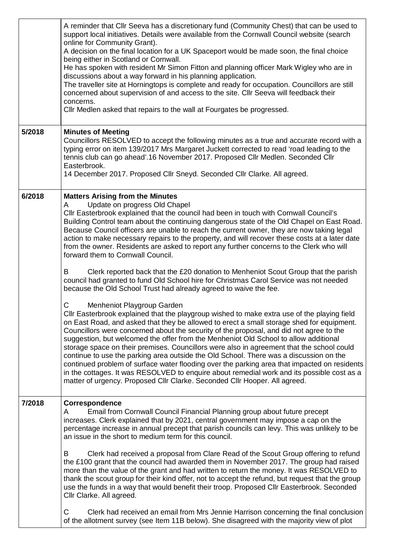|        | A reminder that Cllr Seeva has a discretionary fund (Community Chest) that can be used to<br>support local initiatives. Details were available from the Cornwall Council website (search<br>online for Community Grant).<br>A decision on the final location for a UK Spaceport would be made soon, the final choice<br>being either in Scotland or Cornwall.<br>He has spoken with resident Mr Simon Fitton and planning officer Mark Wigley who are in<br>discussions about a way forward in his planning application.<br>The traveller site at Horningtops is complete and ready for occupation. Councillors are still<br>concerned about supervision of and access to the site. Cllr Seeva will feedback their<br>concerns.<br>Cllr Medlen asked that repairs to the wall at Fourgates be progressed.                                                                         |
|--------|-----------------------------------------------------------------------------------------------------------------------------------------------------------------------------------------------------------------------------------------------------------------------------------------------------------------------------------------------------------------------------------------------------------------------------------------------------------------------------------------------------------------------------------------------------------------------------------------------------------------------------------------------------------------------------------------------------------------------------------------------------------------------------------------------------------------------------------------------------------------------------------|
| 5/2018 | <b>Minutes of Meeting</b><br>Councillors RESOLVED to accept the following minutes as a true and accurate record with a<br>typing error on item 139/2017 Mrs Margaret Juckett corrected to read 'road leading to the<br>tennis club can go ahead'.16 November 2017. Proposed Cllr Medlen. Seconded Cllr<br>Easterbrook.<br>14 December 2017. Proposed Cllr Sneyd. Seconded Cllr Clarke. All agreed.                                                                                                                                                                                                                                                                                                                                                                                                                                                                                |
| 6/2018 | <b>Matters Arising from the Minutes</b><br>Update on progress Old Chapel<br>A<br>Cllr Easterbrook explained that the council had been in touch with Cornwall Council's<br>Building Control team about the continuing dangerous state of the Old Chapel on East Road.<br>Because Council officers are unable to reach the current owner, they are now taking legal<br>action to make necessary repairs to the property, and will recover these costs at a later date<br>from the owner. Residents are asked to report any further concerns to the Clerk who will<br>forward them to Cornwall Council.                                                                                                                                                                                                                                                                              |
|        | B<br>Clerk reported back that the £20 donation to Menheniot Scout Group that the parish<br>council had granted to fund Old School hire for Christmas Carol Service was not needed<br>because the Old School Trust had already agreed to waive the fee.                                                                                                                                                                                                                                                                                                                                                                                                                                                                                                                                                                                                                            |
|        | С<br>Menheniot Playgroup Garden<br>Cllr Easterbrook explained that the playgroup wished to make extra use of the playing field<br>on East Road, and asked that they be allowed to erect a small storage shed for equipment.<br>Councillors were concerned about the security of the proposal, and did not agree to the<br>suggestion, but welcomed the offer from the Menheniot Old School to allow additional<br>storage space on their premises. Councillors were also in agreement that the school could<br>continue to use the parking area outside the Old School. There was a discussion on the<br>continued problem of surface water flooding over the parking area that impacted on residents<br>in the cottages. It was RESOLVED to enquire about remedial work and its possible cost as a<br>matter of urgency. Proposed Cllr Clarke. Seconded Cllr Hooper. All agreed. |
| 7/2018 | Correspondence<br>Email from Cornwall Council Financial Planning group about future precept<br>A<br>increases. Clerk explained that by 2021, central government may impose a cap on the<br>percentage increase in annual precept that parish councils can levy. This was unlikely to be<br>an issue in the short to medium term for this council.                                                                                                                                                                                                                                                                                                                                                                                                                                                                                                                                 |
|        | Clerk had received a proposal from Clare Read of the Scout Group offering to refund<br>B<br>the £100 grant that the council had awarded them in November 2017. The group had raised<br>more than the value of the grant and had written to return the money. It was RESOLVED to<br>thank the scout group for their kind offer, not to accept the refund, but request that the group<br>use the funds in a way that would benefit their troop. Proposed CIIr Easterbrook. Seconded<br>Cllr Clarke. All agreed.                                                                                                                                                                                                                                                                                                                                                                     |
|        | Clerk had received an email from Mrs Jennie Harrison concerning the final conclusion<br>C<br>of the allotment survey (see Item 11B below). She disagreed with the majority view of plot                                                                                                                                                                                                                                                                                                                                                                                                                                                                                                                                                                                                                                                                                           |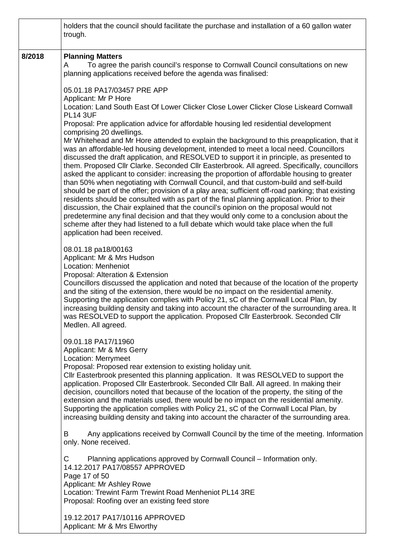|        | holders that the council should facilitate the purchase and installation of a 60 gallon water<br>trough.                                                                                                                                                                                                                                                                                                                                                                                                                                                                                                                                                                                                                                                                                                                                                                                                                                                                                                                                                                                                                                                                                                       |
|--------|----------------------------------------------------------------------------------------------------------------------------------------------------------------------------------------------------------------------------------------------------------------------------------------------------------------------------------------------------------------------------------------------------------------------------------------------------------------------------------------------------------------------------------------------------------------------------------------------------------------------------------------------------------------------------------------------------------------------------------------------------------------------------------------------------------------------------------------------------------------------------------------------------------------------------------------------------------------------------------------------------------------------------------------------------------------------------------------------------------------------------------------------------------------------------------------------------------------|
| 8/2018 | <b>Planning Matters</b><br>To agree the parish council's response to Cornwall Council consultations on new<br>A<br>planning applications received before the agenda was finalised:                                                                                                                                                                                                                                                                                                                                                                                                                                                                                                                                                                                                                                                                                                                                                                                                                                                                                                                                                                                                                             |
|        | 05.01.18 PA17/03457 PRE APP<br>Applicant: Mr P Hore<br>Location: Land South East Of Lower Clicker Close Lower Clicker Close Liskeard Cornwall<br><b>PL14 3UF</b>                                                                                                                                                                                                                                                                                                                                                                                                                                                                                                                                                                                                                                                                                                                                                                                                                                                                                                                                                                                                                                               |
|        | Proposal: Pre application advice for affordable housing led residential development<br>comprising 20 dwellings.<br>Mr Whitehead and Mr Hore attended to explain the background to this preapplication, that it<br>was an affordable-led housing development, intended to meet a local need. Councillors<br>discussed the draft application, and RESOLVED to support it in principle, as presented to<br>them. Proposed Cllr Clarke. Seconded Cllr Easterbrook. All agreed. Specifically, councillors<br>asked the applicant to consider: increasing the proportion of affordable housing to greater<br>than 50% when negotiating with Cornwall Council, and that custom-build and self-build<br>should be part of the offer; provision of a play area; sufficient off-road parking; that existing<br>residents should be consulted with as part of the final planning application. Prior to their<br>discussion, the Chair explained that the council's opinion on the proposal would not<br>predetermine any final decision and that they would only come to a conclusion about the<br>scheme after they had listened to a full debate which would take place when the full<br>application had been received. |
|        | 08.01.18 pa18/00163<br>Applicant: Mr & Mrs Hudson<br>Location: Menheniot<br>Proposal: Alteration & Extension<br>Councillors discussed the application and noted that because of the location of the property<br>and the siting of the extension, there would be no impact on the residential amenity.<br>Supporting the application complies with Policy 21, sC of the Cornwall Local Plan, by<br>increasing building density and taking into account the character of the surrounding area. It<br>was RESOLVED to support the application. Proposed Cllr Easterbrook. Seconded Cllr<br>Medlen. All agreed.                                                                                                                                                                                                                                                                                                                                                                                                                                                                                                                                                                                                    |
|        | 09.01.18 PA17/11960<br>Applicant: Mr & Mrs Gerry<br>Location: Merrymeet<br>Proposal: Proposed rear extension to existing holiday unit.<br>CIIr Easterbrook presented this planning application. It was RESOLVED to support the<br>application. Proposed Cllr Easterbrook. Seconded Cllr Ball. All agreed. In making their<br>decision, councillors noted that because of the location of the property, the siting of the<br>extension and the materials used, there would be no impact on the residential amenity.<br>Supporting the application complies with Policy 21, sC of the Cornwall Local Plan, by<br>increasing building density and taking into account the character of the surrounding area.                                                                                                                                                                                                                                                                                                                                                                                                                                                                                                      |
|        | B<br>Any applications received by Cornwall Council by the time of the meeting. Information<br>only. None received.                                                                                                                                                                                                                                                                                                                                                                                                                                                                                                                                                                                                                                                                                                                                                                                                                                                                                                                                                                                                                                                                                             |
|        | Planning applications approved by Cornwall Council – Information only.<br>C<br>14.12.2017 PA17/08557 APPROVED<br>Page 17 of 50<br>Applicant: Mr Ashley Rowe<br>Location: Trewint Farm Trewint Road Menheniot PL14 3RE<br>Proposal: Roofing over an existing feed store                                                                                                                                                                                                                                                                                                                                                                                                                                                                                                                                                                                                                                                                                                                                                                                                                                                                                                                                         |
|        | 19.12.2017 PA17/10116 APPROVED<br>Applicant: Mr & Mrs Elworthy                                                                                                                                                                                                                                                                                                                                                                                                                                                                                                                                                                                                                                                                                                                                                                                                                                                                                                                                                                                                                                                                                                                                                 |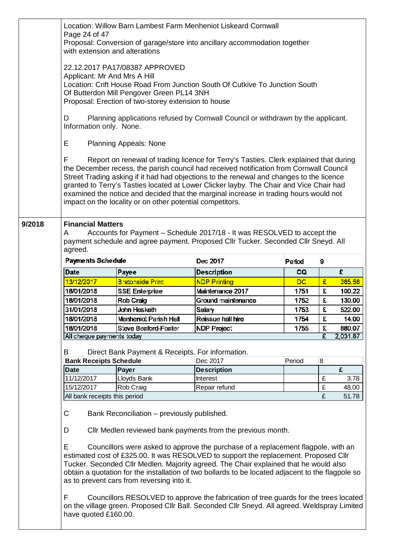|        | Location: Willow Barn Lambest Farm Menheniot Liskeard Cornwall<br>Page 24 of 47<br>Proposal: Conversion of garage/store into ancillary accommodation together<br>with extension and alterations                                                                                                                                                                                                                                                                                                                                    |                                                                                                             |                     |        |   |        |  |  |  |
|--------|------------------------------------------------------------------------------------------------------------------------------------------------------------------------------------------------------------------------------------------------------------------------------------------------------------------------------------------------------------------------------------------------------------------------------------------------------------------------------------------------------------------------------------|-------------------------------------------------------------------------------------------------------------|---------------------|--------|---|--------|--|--|--|
|        | 22.12.2017 PA17/08387 APPROVED<br>Applicant: Mr And Mrs A Hill<br>Location: Crift House Road From Junction South Of Cutkive To Junction South<br>Of Butterdon Mill Pengover Green PL14 3NH<br>Proposal: Erection of two-storey extension to house                                                                                                                                                                                                                                                                                  |                                                                                                             |                     |        |   |        |  |  |  |
|        | D                                                                                                                                                                                                                                                                                                                                                                                                                                                                                                                                  | Planning applications refused by Cornwall Council or withdrawn by the applicant.<br>Information only. None. |                     |        |   |        |  |  |  |
|        | Е                                                                                                                                                                                                                                                                                                                                                                                                                                                                                                                                  | <b>Planning Appeals: None</b>                                                                               |                     |        |   |        |  |  |  |
|        | F<br>Report on renewal of trading licence for Terry's Tasties. Clerk explained that during<br>the December recess, the parish council had received notification from Cornwall Council<br>Street Trading asking if it had had objections to the renewal and changes to the licence<br>granted to Terry's Tasties located at Lower Clicker layby. The Chair and Vice Chair had<br>examined the notice and decided that the marginal increase in trading hours would not<br>impact on the locality or on other potential competitors. |                                                                                                             |                     |        |   |        |  |  |  |
| 9/2018 | <b>Financial Matters</b><br>Accounts for Payment – Schedule 2017/18 - It was RESOLVED to accept the<br>A<br>payment schedule and agree payment. Proposed Cllr Tucker. Seconded Cllr Sneyd. All<br>agreed.                                                                                                                                                                                                                                                                                                                          |                                                                                                             |                     |        |   |        |  |  |  |
|        | <b>Payments Schedule</b>                                                                                                                                                                                                                                                                                                                                                                                                                                                                                                           |                                                                                                             | Dec 2017            | Period | 9 |        |  |  |  |
|        | Date                                                                                                                                                                                                                                                                                                                                                                                                                                                                                                                               | Payee                                                                                                       | <b>Description</b>  | CQ.    |   | £      |  |  |  |
|        | 13/12/2017                                                                                                                                                                                                                                                                                                                                                                                                                                                                                                                         | <b>Bretonside Print</b>                                                                                     | <b>NDP Printing</b> | DC     | £ | 385.58 |  |  |  |
|        | 18/01/2018                                                                                                                                                                                                                                                                                                                                                                                                                                                                                                                         | <b>SSE Enterprise</b>                                                                                       | Maintenance 2017    | 1751   | £ | 100.22 |  |  |  |
|        | 18/01/2018                                                                                                                                                                                                                                                                                                                                                                                                                                                                                                                         | Rob Craig                                                                                                   | Ground maintenance  | 1752   | £ | 130.00 |  |  |  |
|        | 31/01/2018                                                                                                                                                                                                                                                                                                                                                                                                                                                                                                                         | John Hesketh                                                                                                | Salary              | 1753   | £ | 522.00 |  |  |  |
|        | 18/01/2018                                                                                                                                                                                                                                                                                                                                                                                                                                                                                                                         | Menheniot Parish Hall                                                                                       | Reissue hall hire   | 1754   | £ | 14.00  |  |  |  |
|        | 18/01/2018                                                                                                                                                                                                                                                                                                                                                                                                                                                                                                                         | Steve Besford-Foster                                                                                        | NDP Project         | 1755   | £ | 880.07 |  |  |  |
|        | 2,031.87<br>Σ<br>All cheque payments today                                                                                                                                                                                                                                                                                                                                                                                                                                                                                         |                                                                                                             |                     |        |   |        |  |  |  |
|        | B<br>Direct Bank Payment & Receipts. For information.                                                                                                                                                                                                                                                                                                                                                                                                                                                                              |                                                                                                             |                     |        |   |        |  |  |  |
|        | <b>Bank Receipts Schedule</b>                                                                                                                                                                                                                                                                                                                                                                                                                                                                                                      |                                                                                                             | Dec 2017            | Period | 8 |        |  |  |  |
|        | <b>Date</b>                                                                                                                                                                                                                                                                                                                                                                                                                                                                                                                        | Payer                                                                                                       | <b>Description</b>  |        |   | £      |  |  |  |
|        | 11/12/2017                                                                                                                                                                                                                                                                                                                                                                                                                                                                                                                         | Lloyds Bank                                                                                                 | <b>Interest</b>     |        | £ | 3.78   |  |  |  |
|        | 15/12/2017                                                                                                                                                                                                                                                                                                                                                                                                                                                                                                                         | Rob Craig                                                                                                   | Repair refund       |        | £ | 48.00  |  |  |  |
|        | All bank receipts this period                                                                                                                                                                                                                                                                                                                                                                                                                                                                                                      |                                                                                                             |                     |        | £ | 51.78  |  |  |  |
|        | C<br>Bank Reconciliation - previously published.                                                                                                                                                                                                                                                                                                                                                                                                                                                                                   |                                                                                                             |                     |        |   |        |  |  |  |
|        | D<br>Cllr Medlen reviewed bank payments from the previous month.<br>Е<br>Councillors were asked to approve the purchase of a replacement flagpole, with an<br>estimated cost of £325.00. It was RESOLVED to support the replacement. Proposed Cllr<br>Tucker. Seconded Cllr Medlen. Majority agreed. The Chair explained that he would also                                                                                                                                                                                        |                                                                                                             |                     |        |   |        |  |  |  |
|        | obtain a quotation for the installation of two bollards to be located adjacent to the flagpole so<br>as to prevent cars from reversing into it.                                                                                                                                                                                                                                                                                                                                                                                    |                                                                                                             |                     |        |   |        |  |  |  |
|        |                                                                                                                                                                                                                                                                                                                                                                                                                                                                                                                                    |                                                                                                             |                     |        |   |        |  |  |  |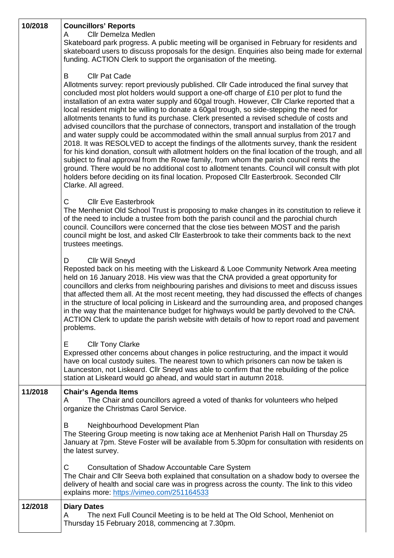| 10/2018 | <b>Councillors' Reports</b><br><b>Cllr Demelza Medlen</b><br>A<br>Skateboard park progress. A public meeting will be organised in February for residents and<br>skateboard users to discuss proposals for the design. Enquiries also being made for external<br>funding. ACTION Clerk to support the organisation of the meeting.                                                                                                                                                                                                                                                                                                                                                                                                                                                                                                                                                                                                                                                                                                                                                                                                                                                                                  |
|---------|--------------------------------------------------------------------------------------------------------------------------------------------------------------------------------------------------------------------------------------------------------------------------------------------------------------------------------------------------------------------------------------------------------------------------------------------------------------------------------------------------------------------------------------------------------------------------------------------------------------------------------------------------------------------------------------------------------------------------------------------------------------------------------------------------------------------------------------------------------------------------------------------------------------------------------------------------------------------------------------------------------------------------------------------------------------------------------------------------------------------------------------------------------------------------------------------------------------------|
|         | B<br><b>Cllr Pat Cade</b><br>Allotments survey: report previously published. Cllr Cade introduced the final survey that<br>concluded most plot holders would support a one-off charge of £10 per plot to fund the<br>installation of an extra water supply and 60gal trough. However, Cllr Clarke reported that a<br>local resident might be willing to donate a 60gal trough, so side-stepping the need for<br>allotments tenants to fund its purchase. Clerk presented a revised schedule of costs and<br>advised councillors that the purchase of connectors, transport and installation of the trough<br>and water supply could be accommodated within the small annual surplus from 2017 and<br>2018. It was RESOLVED to accept the findings of the allotments survey, thank the resident<br>for his kind donation, consult with allotment holders on the final location of the trough, and all<br>subject to final approval from the Rowe family, from whom the parish council rents the<br>ground. There would be no additional cost to allotment tenants. Council will consult with plot<br>holders before deciding on its final location. Proposed Cllr Easterbrook. Seconded Cllr<br>Clarke. All agreed. |
|         | $\mathsf{C}$<br><b>Cllr Eve Easterbrook</b><br>The Menheniot Old School Trust is proposing to make changes in its constitution to relieve it<br>of the need to include a trustee from both the parish council and the parochial church<br>council. Councillors were concerned that the close ties between MOST and the parish<br>council might be lost, and asked Cllr Easterbrook to take their comments back to the next<br>trustees meetings.                                                                                                                                                                                                                                                                                                                                                                                                                                                                                                                                                                                                                                                                                                                                                                   |
|         | <b>Cllr Will Sneyd</b><br>D<br>Reposted back on his meeting with the Liskeard & Looe Community Network Area meeting<br>held on 16 January 2018. His view was that the CNA provided a great opportunity for<br>councillors and clerks from neighbouring parishes and divisions to meet and discuss issues<br>that affected them all. At the most recent meeting, they had discussed the effects of changes<br>in the structure of local policing in Liskeard and the surrounding area, and proposed changes<br>in the way that the maintenance budget for highways would be partly devolved to the CNA<br>ACTION Clerk to update the parish website with details of how to report road and pavement<br>problems.                                                                                                                                                                                                                                                                                                                                                                                                                                                                                                    |
|         | Е<br><b>Cllr Tony Clarke</b><br>Expressed other concerns about changes in police restructuring, and the impact it would<br>have on local custody suites. The nearest town to which prisoners can now be taken is<br>Launceston, not Liskeard. Cllr Sneyd was able to confirm that the rebuilding of the police<br>station at Liskeard would go ahead, and would start in autumn 2018.                                                                                                                                                                                                                                                                                                                                                                                                                                                                                                                                                                                                                                                                                                                                                                                                                              |
| 11/2018 | <b>Chair's Agenda Items</b><br>The Chair and councillors agreed a voted of thanks for volunteers who helped<br>A<br>organize the Christmas Carol Service.                                                                                                                                                                                                                                                                                                                                                                                                                                                                                                                                                                                                                                                                                                                                                                                                                                                                                                                                                                                                                                                          |
|         | Neighbourhood Development Plan<br>B<br>The Steering Group meeting is now taking ace at Menheniot Parish Hall on Thursday 25<br>January at 7pm. Steve Foster will be available from 5.30pm for consultation with residents on<br>the latest survey.                                                                                                                                                                                                                                                                                                                                                                                                                                                                                                                                                                                                                                                                                                                                                                                                                                                                                                                                                                 |
|         | C<br>Consultation of Shadow Accountable Care System<br>The Chair and Cllr Seeva both explained that consultation on a shadow body to oversee the<br>delivery of health and social care was in progress across the county. The link to this video<br>explains more: https://vimeo.com/251164533                                                                                                                                                                                                                                                                                                                                                                                                                                                                                                                                                                                                                                                                                                                                                                                                                                                                                                                     |
| 12/2018 | <b>Diary Dates</b><br>The next Full Council Meeting is to be held at The Old School, Menheniot on<br>A<br>Thursday 15 February 2018, commencing at 7.30pm.                                                                                                                                                                                                                                                                                                                                                                                                                                                                                                                                                                                                                                                                                                                                                                                                                                                                                                                                                                                                                                                         |